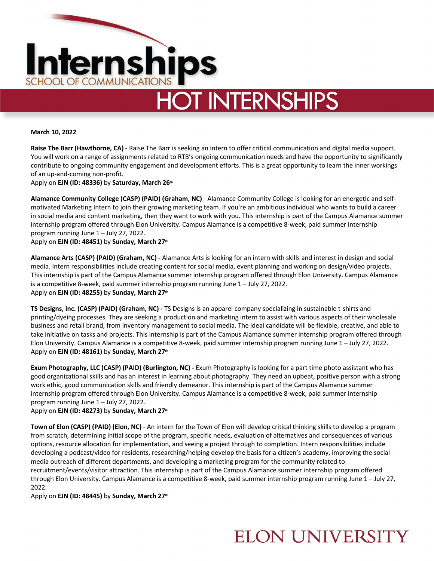

# **HOT INTERNSHIPS**

**March 10, 2022**

**Raise The Barr (Hawthorne, CA) -** Raise The Barr is seeking an intern to offer critical communication and digital media support. You will work on a range of assignments related to RTB's ongoing communication needs and have the opportunity to significantly contribute to ongoing community engagement and development efforts. This is a great opportunity to learn the inner workings of an up-and-coming non-profit.

Apply on **EJN (ID: 48336)** by **Saturday, March 26th**

**Alamance Community College (CASP) (PAID) (Graham, NC)** - Alamance Community College is looking for an energetic and selfmotivated Marketing Intern to join their growing marketing team. If you're an ambitious individual who wants to build a career in social media and content marketing, then they want to work with you. This internship is part of the Campus Alamance summer internship program offered through Elon University. Campus Alamance is a competitive 8-week, paid summer internship program running June 1 – July 27, 2022.

Apply on **EJN (ID: 48451)** by **Sunday, March 27th**

**Alamance Arts (CASP) (PAID) (Graham, NC) -** Alamance Arts is looking for an intern with skills and interest in design and social media. Intern responsibilities include creating content for social media, event planning and working on design/video projects. This internship is part of the Campus Alamance summer internship program offered through Elon University. Campus Alamance is a competitive 8-week, paid summer internship program running June 1 – July 27, 2022. Apply on **EJN (ID: 48255)** by **Sunday, March 27th**

**TS Designs, Inc. (CASP) (PAID) (Graham, NC) -** TS Designs is an apparel company specializing in sustainable t-shirts and printing/dyeing processes. They are seeking a production and marketing intern to assist with various aspects of their wholesale business and retail brand, from inventory management to social media. The ideal candidate will be flexible, creative, and able to take initiative on tasks and projects. This internship is part of the Campus Alamance summer internship program offered through Elon University. Campus Alamance is a competitive 8-week, paid summer internship program running June 1 – July 27, 2022. Apply on **EJN (ID: 48161)** by **Sunday, March 27th**

**Exum Photography, LLC (CASP) (PAID) (Burlington, NC) -** Exum Photography is looking for a part time photo assistant who has good organizational skills and has an interest in learning about photography. They need an upbeat, positive person with a strong work ethic, good communication skills and friendly demeanor. This internship is part of the Campus Alamance summer internship program offered through Elon University. Campus Alamance is a competitive 8-week, paid summer internship program running June 1 – July 27, 2022.

Apply on **EJN (ID: 48273)** by **Sunday, March 27th**

**Town of Elon (CASP) (PAID) (Elon, NC)** - An intern for the Town of Elon will develop critical thinking skills to develop a program from scratch, determining initial scope of the program, specific needs, evaluation of alternatives and consequences of various options, resource allocation for implementation, and seeing a project through to completion. Intern responsibilities include developing a podcast/video for residents, researching/helping develop the basis for a citizen's academy, improving the social media outreach of different departments, and developing a marketing program for the community related to recruitment/events/visitor attraction. This internship is part of the Campus Alamance summer internship program offered through Elon University. Campus Alamance is a competitive 8-week, paid summer internship program running June 1 – July 27, 2022.

Apply on **EJN (ID: 48445)** by **Sunday, March 27th**

## **ELON UNIVERSITY**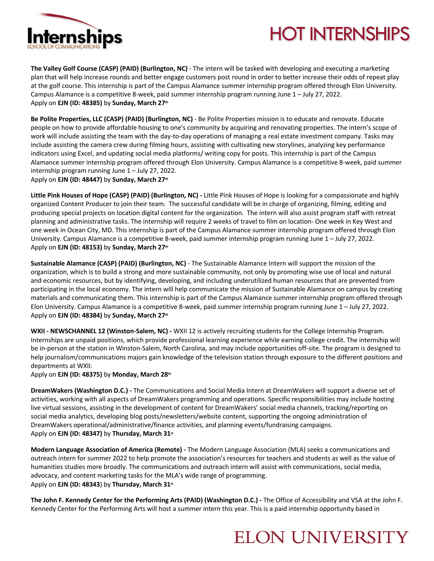

# **HOT INTERNSHIPS**

**The Valley Golf Course (CASP) (PAID) (Burlington, NC)** - The intern will be tasked with developing and executing a marketing plan that will help increase rounds and better engage customers post round in order to better increase their odds of repeat play at the golf course. This internship is part of the Campus Alamance summer internship program offered through Elon University. Campus Alamance is a competitive 8-week, paid summer internship program running June 1 – July 27, 2022. Apply on **EJN (ID: 48385)** by **Sunday, March 27th**

**Be Polite Properties, LLC (CASP) (PAID) (Burlington, NC)** - Be Polite Properties mission is to educate and renovate. Educate people on how to provide affordable housing to one's community by acquiring and renovating properties. The intern's scope of work will include assisting the team with the day-to-day operations of managing a real estate investment company. Tasks may include assisting the camera crew during filming hours, assisting with cultivating new storylines, analyzing key performance indicators using Excel, and updating social media platforms/ writing copy for posts. This internship is part of the Campus Alamance summer internship program offered through Elon University. Campus Alamance is a competitive 8-week, paid summer internship program running June 1 – July 27, 2022.

Apply on **EJN (ID: 48447)** by **Sunday, March 27th**

**Little Pink Houses of Hope (CASP) (PAID) (Burlington, NC) -** Little Pink Houses of Hope is looking for a compassionate and highly organized Content Producer to join their team. The successful candidate will be in charge of organizing, filming, editing and producing special projects on location digital content for the organization. The intern will also assist program staff with retreat planning and administrative tasks. The internship will require 2 weeks of travel to film on location- One week in Key West and one week in Ocean City, MD. This internship is part of the Campus Alamance summer internship program offered through Elon University. Campus Alamance is a competitive 8-week, paid summer internship program running June 1 – July 27, 2022. Apply on **EJN (ID: 48153)** by **Sunday, March 27th**

**Sustainable Alamance (CASP) (PAID) (Burlington, NC)** - The Sustainable Alamance Intern will support the mission of the organization, which is to build a strong and more sustainable community, not only by promoting wise use of local and natural and economic resources, but by identifying, developing, and including underutilized human resources that are prevented from participating in the local economy. The intern will help communicate the mission of Sustainable Alamance on campus by creating materials and communicating them. This internship is part of the Campus Alamance summer internship program offered through Elon University. Campus Alamance is a competitive 8-week, paid summer internship program running June 1 – July 27, 2022. Apply on **EJN (ID: 48384)** by **Sunday, March 27th**

**WXII - NEWSCHANNEL 12 (Winston-Salem, NC) -** WXII 12 is actively recruiting students for the College Internship Program. Internships are unpaid positions, which provide professional learning experience while earning college credit. The internship will be in-person at the station in Winston-Salem, North Carolina, and may include opportunities off-site. The program is designed to help journalism/communications majors gain knowledge of the television station through exposure to the different positions and departments at WXII.

Apply on **EJN (ID: 48375)** by **Monday, March 28th**

**DreamWakers (Washington D.C.) -** The Communications and Social Media Intern at DreamWakers will support a diverse set of activities, working with all aspects of DreamWakers programming and operations. Specific responsibilities may include hosting live virtual sessions, assisting in the development of content for DreamWakers' social media channels, tracking/reporting on social media analytics, developing blog posts/newsletters/website content, supporting the ongoing administration of DreamWakers operational/administrative/finance activities, and planning events/fundraising campaigns. Apply on **EJN (ID: 48347)** by **Thursday, March 31st**

**Modern Language Association of America (Remote) -** The Modern Language Association (MLA) seeks a communications and outreach intern for summer 2022 to help promote the association's resources for teachers and students as well as the value of humanities studies more broadly. The communications and outreach intern will assist with communications, social media, advocacy, and content marketing tasks for the MLA's wide range of programming. Apply on **EJN (ID: 48343**) by **Thursday, March 31st**

**The John F. Kennedy Center for the Performing Arts (PAID) (Washington D.C.) -** The Office of Accessibility and VSA at the John F. Kennedy Center for the Performing Arts will host a summer intern this year. This is a paid internship opportunity based in

#### **ELON UNIVERSITY**